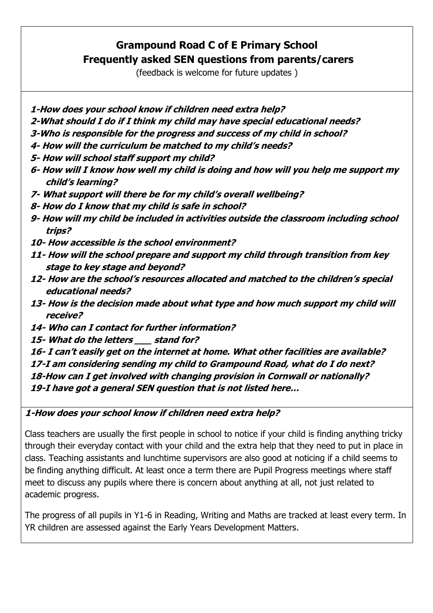# **Grampound Road C of E Primary School Frequently asked SEN questions from parents/carers**

(feedback is welcome for future updates )

- **1-How does your school know if children need extra help?**
- **2-What should I do if I think my child may have special educational needs?**
- **3-Who is responsible for the progress and success of my child in school?**
- **4- How will the curriculum be matched to my child's needs?**
- **5- How will school staff support my child?**
- **6- How will I know how well my child is doing and how will you help me support my child's learning?**
- **7- What support will there be for my child's overall wellbeing?**
- **8- How do I know that my child is safe in school?**
- **9- How will my child be included in activities outside the classroom including school trips?**
- **10- How accessible is the school environment?**
- **11- How will the school prepare and support my child through transition from key stage to key stage and beyond?**
- **12- How are the school's resources allocated and matched to the children's special educational needs?**
- **13- How is the decision made about what type and how much support my child will receive?**
- **14- Who can I contact for further information?**
- **15- What do the letters \_\_\_ stand for?**
- **16- I can't easily get on the internet at home. What other facilities are available?**

**17-I am considering sending my child to Grampound Road, what do I do next? 18-How can I get involved with changing provision in Cornwall or nationally?**

**19-I have got a general SEN question that is not listed here…**

#### **1-How does your school know if children need extra help?**

Class teachers are usually the first people in school to notice if your child is finding anything tricky through their everyday contact with your child and the extra help that they need to put in place in class. Teaching assistants and lunchtime supervisors are also good at noticing if a child seems to be finding anything difficult. At least once a term there are Pupil Progress meetings where staff meet to discuss any pupils where there is concern about anything at all, not just related to academic progress.

The progress of all pupils in Y1-6 in Reading, Writing and Maths are tracked at least every term. In YR children are assessed against the Early Years Development Matters.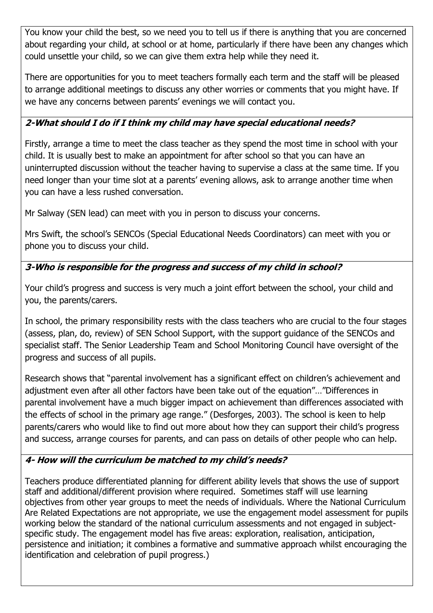You know your child the best, so we need you to tell us if there is anything that you are concerned about regarding your child, at school or at home, particularly if there have been any changes which could unsettle your child, so we can give them extra help while they need it.

There are opportunities for you to meet teachers formally each term and the staff will be pleased to arrange additional meetings to discuss any other worries or comments that you might have. If we have any concerns between parents' evenings we will contact you.

### **2-What should I do if I think my child may have special educational needs?**

Firstly, arrange a time to meet the class teacher as they spend the most time in school with your child. It is usually best to make an appointment for after school so that you can have an uninterrupted discussion without the teacher having to supervise a class at the same time. If you need longer than your time slot at a parents' evening allows, ask to arrange another time when you can have a less rushed conversation.

Mr Salway (SEN lead) can meet with you in person to discuss your concerns.

Mrs Swift, the school's SENCOs (Special Educational Needs Coordinators) can meet with you or phone you to discuss your child.

# **3-Who is responsible for the progress and success of my child in school?**

Your child's progress and success is very much a joint effort between the school, your child and you, the parents/carers.

In school, the primary responsibility rests with the class teachers who are crucial to the four stages (assess, plan, do, review) of SEN School Support, with the support guidance of the SENCOs and specialist staff. The Senior Leadership Team and School Monitoring Council have oversight of the progress and success of all pupils.

Research shows that "parental involvement has a significant effect on children's achievement and adjustment even after all other factors have been take out of the equation"…"Differences in parental involvement have a much bigger impact on achievement than differences associated with the effects of school in the primary age range." (Desforges, 2003). The school is keen to help parents/carers who would like to find out more about how they can support their child's progress and success, arrange courses for parents, and can pass on details of other people who can help.

#### **4- How will the curriculum be matched to my child's needs?**

Teachers produce differentiated planning for different ability levels that shows the use of support staff and additional/different provision where required. Sometimes staff will use learning objectives from other year groups to meet the needs of individuals. Where the National Curriculum Are Related Expectations are not appropriate, we use the engagement model assessment for pupils working below the standard of the national curriculum assessments and not engaged in subjectspecific study. The engagement model has five areas: exploration, realisation, anticipation, persistence and initiation; it combines a formative and summative approach whilst encouraging the identification and celebration of pupil progress.)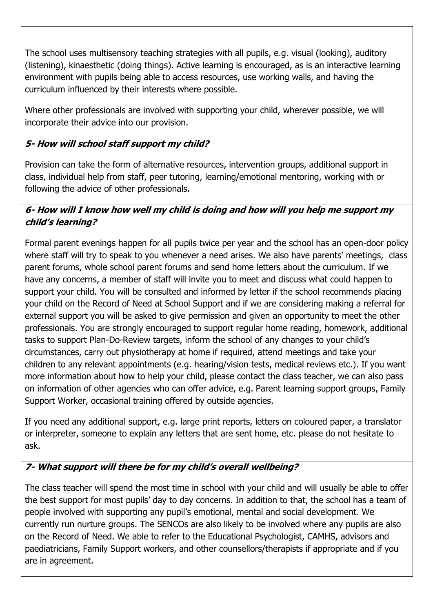The school uses multisensory teaching strategies with all pupils, e.g. visual (looking), auditory (listening), kinaesthetic (doing things). Active learning is encouraged, as is an interactive learning environment with pupils being able to access resources, use working walls, and having the curriculum influenced by their interests where possible.

Where other professionals are involved with supporting your child, wherever possible, we will incorporate their advice into our provision.

### **5- How will school staff support my child?**

Provision can take the form of alternative resources, intervention groups, additional support in class, individual help from staff, peer tutoring, learning/emotional mentoring, working with or following the advice of other professionals.

### **6- How will I know how well my child is doing and how will you help me support my child's learning?**

Formal parent evenings happen for all pupils twice per year and the school has an open-door policy where staff will try to speak to you whenever a need arises. We also have parents' meetings, class parent forums, whole school parent forums and send home letters about the curriculum. If we have any concerns, a member of staff will invite you to meet and discuss what could happen to support your child. You will be consulted and informed by letter if the school recommends placing your child on the Record of Need at School Support and if we are considering making a referral for external support you will be asked to give permission and given an opportunity to meet the other professionals. You are strongly encouraged to support regular home reading, homework, additional tasks to support Plan-Do-Review targets, inform the school of any changes to your child's circumstances, carry out physiotherapy at home if required, attend meetings and take your children to any relevant appointments (e.g. hearing/vision tests, medical reviews etc.). If you want more information about how to help your child, please contact the class teacher, we can also pass on information of other agencies who can offer advice, e.g. Parent learning support groups, Family Support Worker, occasional training offered by outside agencies.

If you need any additional support, e.g. large print reports, letters on coloured paper, a translator or interpreter, someone to explain any letters that are sent home, etc. please do not hesitate to ask.

# **7- What support will there be for my child's overall wellbeing?**

The class teacher will spend the most time in school with your child and will usually be able to offer the best support for most pupils' day to day concerns. In addition to that, the school has a team of people involved with supporting any pupil's emotional, mental and social development. We currently run nurture groups. The SENCOs are also likely to be involved where any pupils are also on the Record of Need. We able to refer to the Educational Psychologist, CAMHS, advisors and paediatricians, Family Support workers, and other counsellors/therapists if appropriate and if you are in agreement.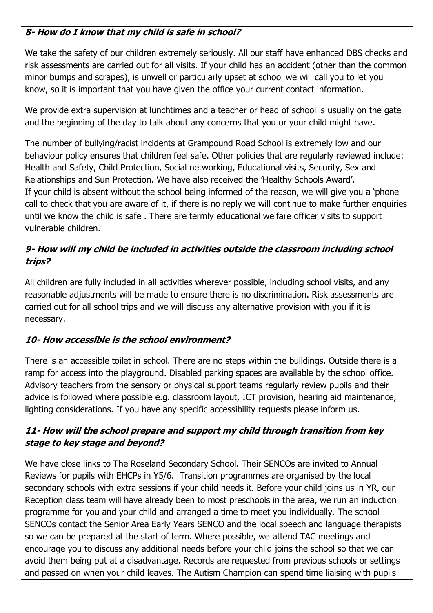# **8- How do I know that my child is safe in school?**

We take the safety of our children extremely seriously. All our staff have enhanced DBS checks and risk assessments are carried out for all visits. If your child has an accident (other than the common minor bumps and scrapes), is unwell or particularly upset at school we will call you to let you know, so it is important that you have given the office your current contact information.

We provide extra supervision at lunchtimes and a teacher or head of school is usually on the gate and the beginning of the day to talk about any concerns that you or your child might have.

The number of bullying/racist incidents at Grampound Road School is extremely low and our behaviour policy ensures that children feel safe. Other policies that are regularly reviewed include: Health and Safety, Child Protection, Social networking, Educational visits, Security, Sex and Relationships and Sun Protection. We have also received the 'Healthy Schools Award'. If your child is absent without the school being informed of the reason, we will give you a 'phone call to check that you are aware of it, if there is no reply we will continue to make further enquiries until we know the child is safe . There are termly educational welfare officer visits to support vulnerable children.

#### **9- How will my child be included in activities outside the classroom including school trips?**

All children are fully included in all activities wherever possible, including school visits, and any reasonable adjustments will be made to ensure there is no discrimination. Risk assessments are carried out for all school trips and we will discuss any alternative provision with you if it is necessary.

#### **10- How accessible is the school environment?**

There is an accessible toilet in school. There are no steps within the buildings. Outside there is a ramp for access into the playground. Disabled parking spaces are available by the school office. Advisory teachers from the sensory or physical support teams regularly review pupils and their advice is followed where possible e.g. classroom layout, ICT provision, hearing aid maintenance, lighting considerations. If you have any specific accessibility requests please inform us.

#### **11- How will the school prepare and support my child through transition from key stage to key stage and beyond?**

We have close links to The Roseland Secondary School. Their SENCOs are invited to Annual Reviews for pupils with EHCPs in Y5/6. Transition programmes are organised by the local secondary schools with extra sessions if your child needs it. Before your child joins us in YR, our Reception class team will have already been to most preschools in the area, we run an induction programme for you and your child and arranged a time to meet you individually. The school SENCOs contact the Senior Area Early Years SENCO and the local speech and language therapists so we can be prepared at the start of term. Where possible, we attend TAC meetings and encourage you to discuss any additional needs before your child joins the school so that we can avoid them being put at a disadvantage. Records are requested from previous schools or settings and passed on when your child leaves. The Autism Champion can spend time liaising with pupils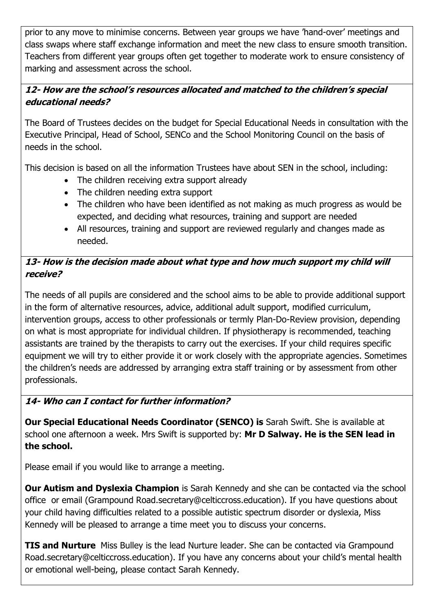prior to any move to minimise concerns. Between year groups we have 'hand-over' meetings and class swaps where staff exchange information and meet the new class to ensure smooth transition. Teachers from different year groups often get together to moderate work to ensure consistency of marking and assessment across the school.

#### **12- How are the school's resources allocated and matched to the children's special educational needs?**

The Board of Trustees decides on the budget for Special Educational Needs in consultation with the Executive Principal, Head of School, SENCo and the School Monitoring Council on the basis of needs in the school.

This decision is based on all the information Trustees have about SEN in the school, including:

- The children receiving extra support already
- The children needing extra support
- The children who have been identified as not making as much progress as would be expected, and deciding what resources, training and support are needed
- All resources, training and support are reviewed regularly and changes made as needed.

#### **13- How is the decision made about what type and how much support my child will receive?**

The needs of all pupils are considered and the school aims to be able to provide additional support in the form of alternative resources, advice, additional adult support, modified curriculum, intervention groups, access to other professionals or termly Plan-Do-Review provision, depending on what is most appropriate for individual children. If physiotherapy is recommended, teaching assistants are trained by the therapists to carry out the exercises. If your child requires specific equipment we will try to either provide it or work closely with the appropriate agencies. Sometimes the children's needs are addressed by arranging extra staff training or by assessment from other professionals.

#### **14- Who can I contact for further information?**

**Our Special Educational Needs Coordinator (SENCO) is** Sarah Swift. She is available at school one afternoon a week. Mrs Swift is supported by: **Mr D Salway. He is the SEN lead in the school.** 

Please email if you would like to arrange a meeting.

**Our Autism and Dyslexia Champion** is Sarah Kennedy and she can be contacted via the school office or email (Grampound Road.secretary@celticcross.education). If you have questions about your child having difficulties related to a possible autistic spectrum disorder or dyslexia, Miss Kennedy will be pleased to arrange a time meet you to discuss your concerns.

**TIS and Nurture** Miss Bulley is the lead Nurture leader. She can be contacted via Grampound Road.secretary@celticcross.education). If you have any concerns about your child's mental health or emotional well-being, please contact Sarah Kennedy.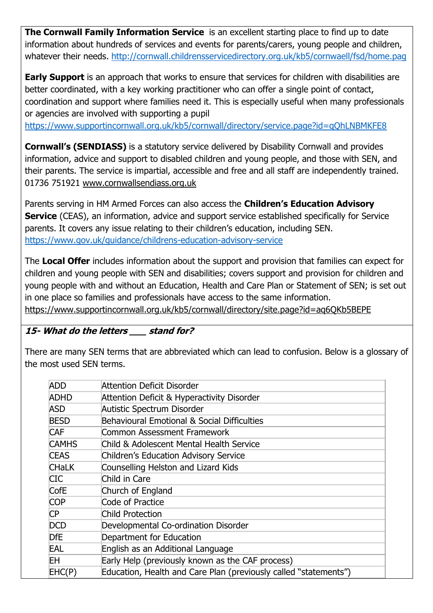**The Cornwall Family Information Service** is an excellent starting place to find up to date information about hundreds of services and events for parents/carers, young people and children, whatever their needs. [http://cornwall.childrensservicedirectory.org.uk/kb5/cornwaell/fsd/home.pag](https://www.supportincornwall.org.uk/kb5/cornwall/directory/family.page?familychannel=0)

**Early Support** is an approach that works to ensure that services for children with disabilities are better coordinated, with a key working practitioner who can offer a single point of contact, coordination and support where families need it. This is especially useful when many professionals or agencies are involved with supporting a pupil

<https://www.supportincornwall.org.uk/kb5/cornwall/directory/service.page?id=qQhLNBMKFE8>

**Cornwall's (SENDIASS)** is a statutory service delivered by Disability Cornwall and provides information, advice and support to disabled children and young people, and those with SEN, and their parents. The service is impartial, accessible and free and all staff are independently trained. 01736 751921 [www.cornwallsendiass.org.uk](http://www.cornwallsendiass.org.uk/)

Parents serving in HM Armed Forces can also access the **Children's Education Advisory Service** (CEAS), an information, advice and support service established specifically for Service parents. It covers any issue relating to their children's education, including SEN. <https://www.gov.uk/guidance/childrens-education-advisory-service>

The **Local Offer** includes information about the support and provision that families can expect for children and young people with SEN and disabilities; covers support and provision for children and young people with and without an Education, Health and Care Plan or Statement of SEN; is set out in one place so families and professionals have access to the same information. <https://www.supportincornwall.org.uk/kb5/cornwall/directory/site.page?id=aq6QKb5BEPE>

#### **15- What do the letters \_\_\_ stand for?**

There are many SEN terms that are abbreviated which can lead to confusion. Below is a glossary of the most used SEN terms.

| <b>ADD</b>   | Attention Deficit Disorder                                       |
|--------------|------------------------------------------------------------------|
| <b>ADHD</b>  | <b>Attention Deficit &amp; Hyperactivity Disorder</b>            |
| <b>ASD</b>   | Autistic Spectrum Disorder                                       |
| <b>BESD</b>  | Behavioural Emotional & Social Difficulties                      |
| <b>CAF</b>   | Common Assessment Framework                                      |
| <b>CAMHS</b> | Child & Adolescent Mental Health Service                         |
| <b>CEAS</b>  | Children's Education Advisory Service                            |
| <b>CHaLK</b> | Counselling Helston and Lizard Kids                              |
| CIC          | Child in Care                                                    |
| CofE         | Church of England                                                |
| <b>COP</b>   | Code of Practice                                                 |
| СP           | <b>Child Protection</b>                                          |
| <b>DCD</b>   | Developmental Co-ordination Disorder                             |
| DfE          | Department for Education                                         |
| EAL          | English as an Additional Language                                |
| ΕH           | Early Help (previously known as the CAF process)                 |
| EHC(P)       | Education, Health and Care Plan (previously called "statements") |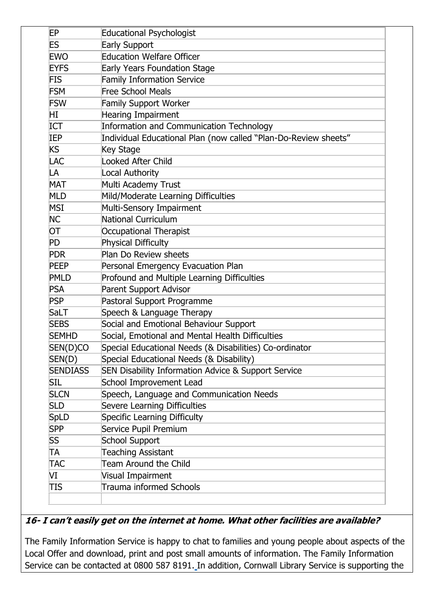| EP              | <b>Educational Psychologist</b>                                 |
|-----------------|-----------------------------------------------------------------|
| ES              | <b>Early Support</b>                                            |
| <b>EWO</b>      | <b>Education Welfare Officer</b>                                |
| <b>EYFS</b>     | <b>Early Years Foundation Stage</b>                             |
| <b>FIS</b>      | <b>Family Information Service</b>                               |
| <b>FSM</b>      | <b>Free School Meals</b>                                        |
| <b>FSW</b>      | <b>Family Support Worker</b>                                    |
| HI              | <b>Hearing Impairment</b>                                       |
| ICT             | Information and Communication Technology                        |
| IEP             | Individual Educational Plan (now called "Plan-Do-Review sheets" |
| <b>KS</b>       | <b>Key Stage</b>                                                |
| LAC             | <b>Looked After Child</b>                                       |
| LA              | Local Authority                                                 |
| <b>MAT</b>      | Multi Academy Trust                                             |
| MLD             | Mild/Moderate Learning Difficulties                             |
| MSI             | Multi-Sensory Impairment                                        |
| <b>NC</b>       | National Curriculum                                             |
| ОT              | <b>Occupational Therapist</b>                                   |
| PD              | <b>Physical Difficulty</b>                                      |
| <b>PDR</b>      | Plan Do Review sheets                                           |
| <b>PEEP</b>     | Personal Emergency Evacuation Plan                              |
| <b>PMLD</b>     | Profound and Multiple Learning Difficulties                     |
| <b>PSA</b>      | <b>Parent Support Advisor</b>                                   |
| PSP             | Pastoral Support Programme                                      |
| SaLT            | Speech & Language Therapy                                       |
| <b>SEBS</b>     | Social and Emotional Behaviour Support                          |
| <b>SEMHD</b>    | Social, Emotional and Mental Health Difficulties                |
| SEN(D)CO        | Special Educational Needs (& Disabilities) Co-ordinator         |
| SEN(D)          | Special Educational Needs (& Disability)                        |
| <b>SENDIASS</b> | SEN Disability Information Advice & Support Service             |
| SIL             | School Improvement Lead                                         |
| <b>SLCN</b>     | Speech, Language and Communication Needs                        |
| <b>SLD</b>      | Severe Learning Difficulties                                    |
| <b>SpLD</b>     | Specific Learning Difficulty                                    |
| <b>SPP</b>      | Service Pupil Premium                                           |
| SS.             | School Support                                                  |
| TA              | <b>Teaching Assistant</b>                                       |
| <b>TAC</b>      | Team Around the Child                                           |
| VI              | Visual Impairment                                               |
| TIS             | Trauma informed Schools                                         |

#### **16- I can't easily get on the internet at home. What other facilities are available?**

The Family Information Service is happy to chat to families and young people about aspects of the Local Offer and download, print and post small amounts of information. The Family Information Service can be contacted at 0800 587 8191. In addition, Cornwall Library Service is supporting the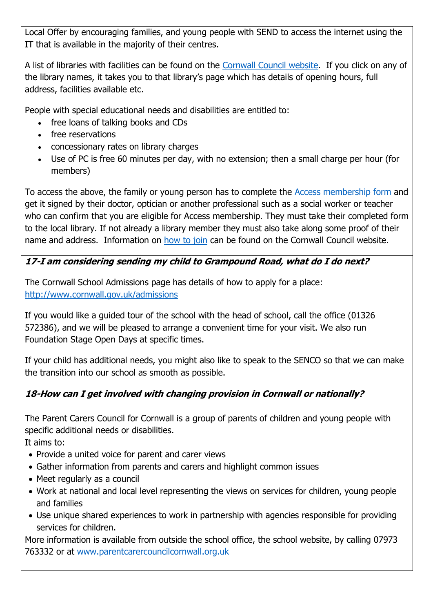Local Offer by encouraging families, and young people with SEND to access the internet using the IT that is available in the majority of their centres.

A list of libraries with facilities can be found on the [Cornwall Council website.](http://www.cornwall.gov.uk/leisure-and-culture/libraries/your-local-library/) If you click on any of the library names, it takes you to that library's page which has details of opening hours, full address, facilities available etc.

People with special educational needs and disabilities are entitled to:

- free loans of talking books and CDs
- free reservations
- concessionary rates on library charges
- Use of PC is free 60 minutes per day, with no extension; then a small charge per hour (for members)

To access the above, the family or young person has to complete the [Access membership form](http://www.cornwall.gov.uk/media/3625508/Library_access_card_application_form.doc) and get it signed by their doctor, optician or another professional such as a social worker or teacher who can confirm that you are eligible for Access membership. They must take their completed form to the local library. If not already a library member they must also take along some proof of their name and address. Information on [how to join](http://www.cornwall.gov.uk/leisure-and-culture/libraries/using-the-library/how-to-join/) can be found on the Cornwall Council website.

# **17-I am considering sending my child to Grampound Road, what do I do next?**

The Cornwall School Admissions page has details of how to apply for a place: <http://www.cornwall.gov.uk/admissions>

If you would like a guided tour of the school with the head of school, call the office (01326 572386), and we will be pleased to arrange a convenient time for your visit. We also run Foundation Stage Open Days at specific times.

If your child has additional needs, you might also like to speak to the SENCO so that we can make the transition into our school as smooth as possible.

# **18-How can I get involved with changing provision in Cornwall or nationally?**

The Parent Carers Council for Cornwall is a group of parents of children and young people with specific additional needs or disabilities.

It aims to:

- Provide a united voice for parent and carer views
- Gather information from parents and carers and highlight common issues
- Meet regularly as a council
- Work at national and local level representing the views on services for children, young people and families
- Use unique shared experiences to work in partnership with agencies responsible for providing services for children.

More information is available from outside the school office, the school website, by calling 07973 763332 or at [www.parentcarercouncilcornwall.org.uk](http://www.parentcarercouncilcornwall.org.uk/)